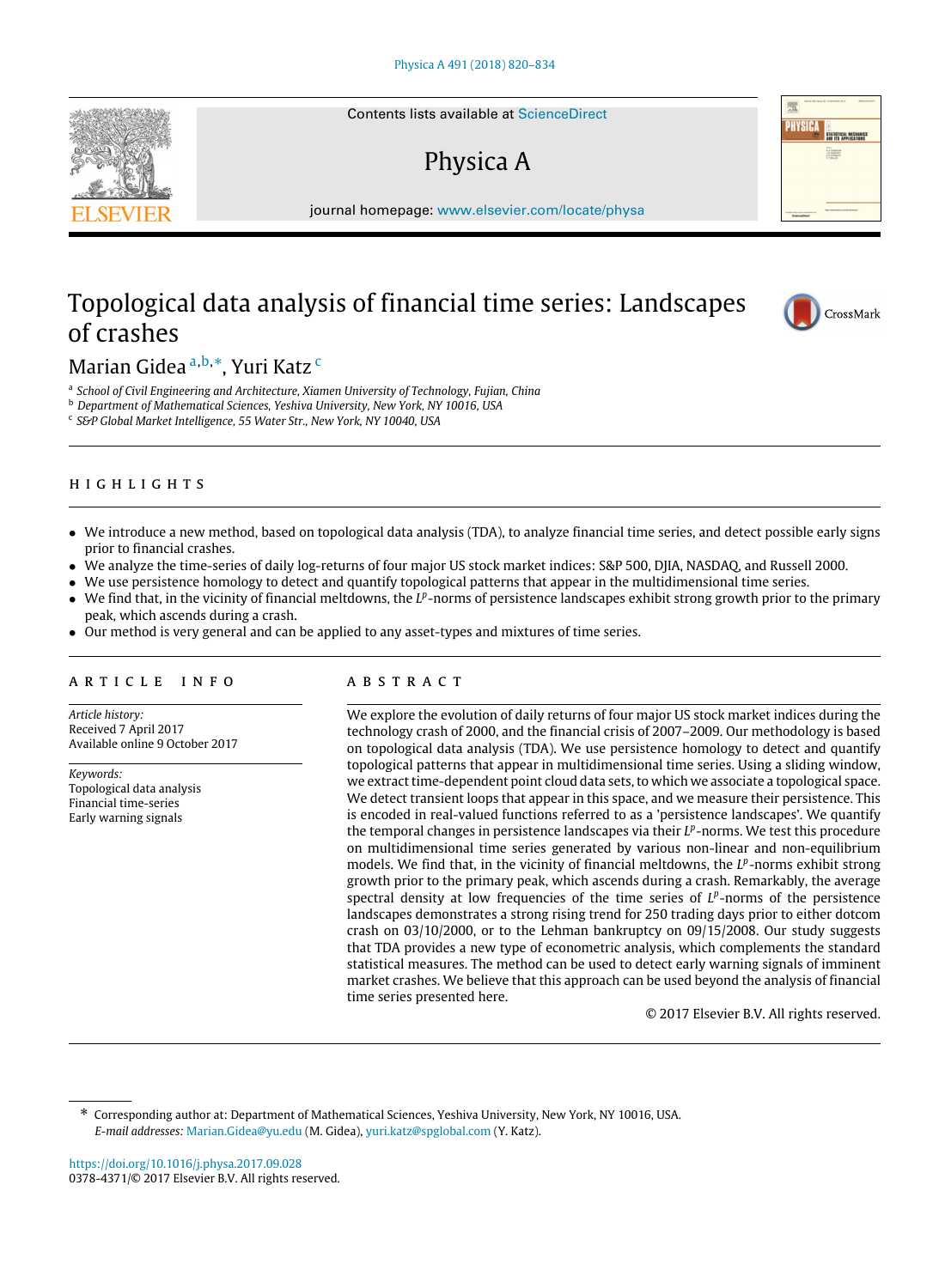Contents lists available at [ScienceDirect](http://www.elsevier.com/locate/physa)

# Physica A

journal homepage: [www.elsevier.com/locate/physa](http://www.elsevier.com/locate/physa)

## Topological data analysis of financial time series: Landscapes of crashes



**PHYSICA** 

STATISTICAL MECHANI EA GANG

Marian Gidea <sup>[a,](#page-0-0)[b,](#page-0-1)</sup>[\\*](#page-0-2), Yuri Katz <sup>[c](#page-0-3)</sup>

<span id="page-0-0"></span>a *School of Civil Engineering and Architecture, Xiamen University of Technology, Fujian, China*

<span id="page-0-1"></span><sup>b</sup> *Department of Mathematical Sciences, Yeshiva University, New York, NY 10016, USA*

<span id="page-0-3"></span>c *S&P Global Market Intelligence, 55 Water Str., New York, NY 10040, USA*

### h i g h l i g h t s

- We introduce a new method, based on topological data analysis (TDA), to analyze financial time series, and detect possible early signs prior to financial crashes.
- We analyze the time-series of daily log-returns of four major US stock market indices: S&P 500, DJIA, NASDAQ, and Russell 2000.
- We use persistence homology to detect and quantify topological patterns that appear in the multidimensional time series.
- We find that, in the vicinity of financial meltdowns, the *L*<sup>p</sup>-norms of persistence landscapes exhibit strong growth prior to the primary peak, which ascends during a crash.
- Our method is very general and can be applied to any asset-types and mixtures of time series.

#### a r t i c l e i n f o

*Article history:* Received 7 April 2017 Available online 9 October 2017

*Keywords:* Topological data analysis Financial time-series Early warning signals

#### A B S T R A C T

We explore the evolution of daily returns of four major US stock market indices during the technology crash of 2000, and the financial crisis of 2007–2009. Our methodology is based on topological data analysis (TDA). We use persistence homology to detect and quantify topological patterns that appear in multidimensional time series. Using a sliding window, we extract time-dependent point cloud data sets, to which we associate a topological space. We detect transient loops that appear in this space, and we measure their persistence. This is encoded in real-valued functions referred to as a 'persistence landscapes'. We quantify the temporal changes in persistence landscapes via their L<sup>p</sup>-norms. We test this procedure on multidimensional time series generated by various non-linear and non-equilibrium models. We find that, in the vicinity of financial meltdowns, the L<sup>p</sup>-norms exhibit strong growth prior to the primary peak, which ascends during a crash. Remarkably, the average spectral density at low frequencies of the time series of  $L^p$ -norms of the persistence landscapes demonstrates a strong rising trend for 250 trading days prior to either dotcom crash on 03/10/2000, or to the Lehman bankruptcy on 09/15/2008. Our study suggests that TDA provides a new type of econometric analysis, which complements the standard statistical measures. The method can be used to detect early warning signals of imminent market crashes. We believe that this approach can be used beyond the analysis of financial time series presented here.

© 2017 Elsevier B.V. All rights reserved.

<span id="page-0-2"></span>\* Corresponding author at: Department of Mathematical Sciences, Yeshiva University, New York, NY 10016, USA. *E-mail addresses:* [Marian.Gidea@yu.edu](mailto:Marian.Gidea@yu.edu) (M. Gidea), [yuri.katz@spglobal.com](mailto:yuri.katz@spglobal.com) (Y. Katz).

<https://doi.org/10.1016/j.physa.2017.09.028> 0378-4371/© 2017 Elsevier B.V. All rights reserved.

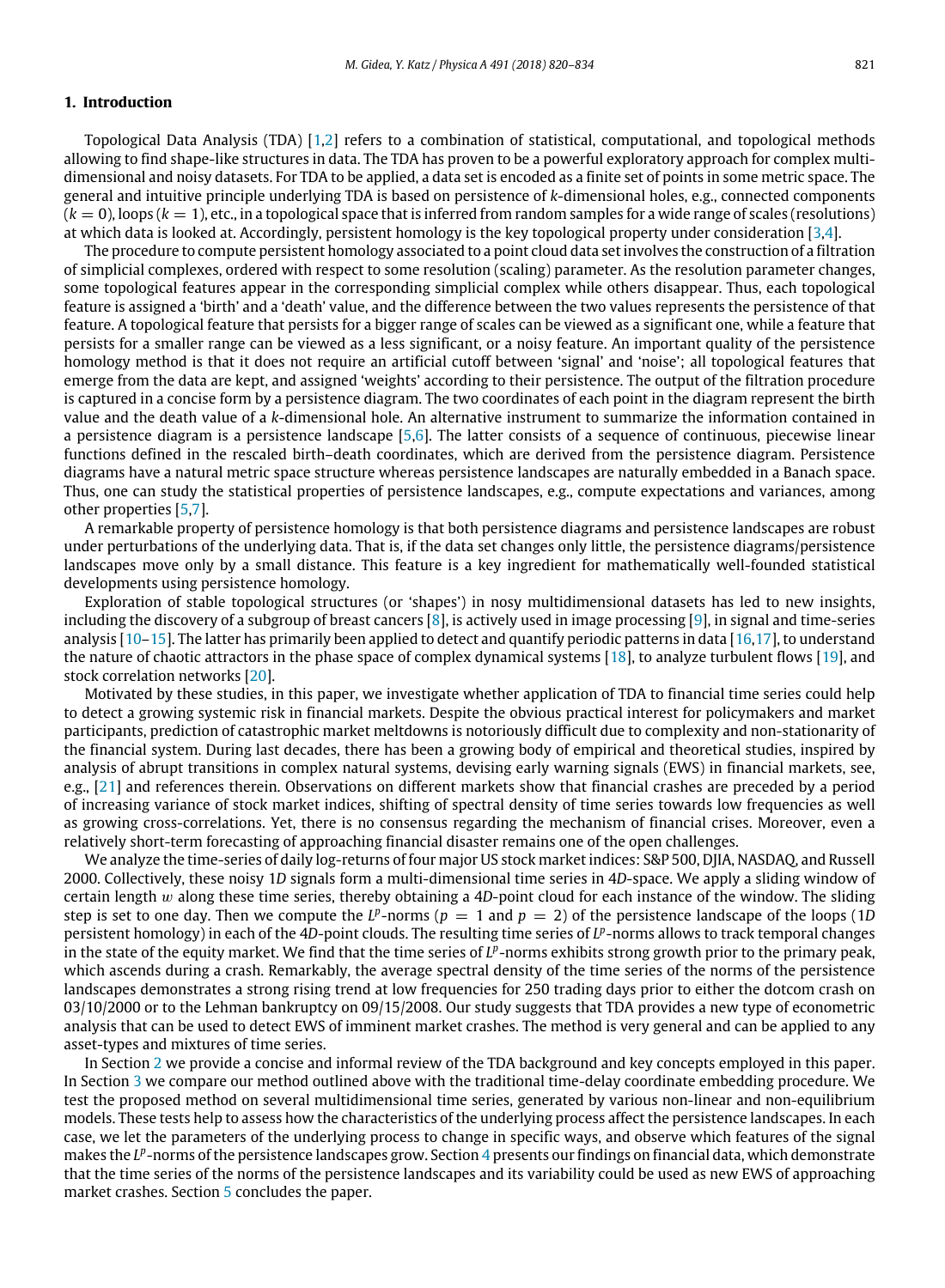### **1. Introduction**

Topological Data Analysis (TDA) [\[1](#page--1-0)[,2\]](#page--1-1) refers to a combination of statistical, computational, and topological methods allowing to find shape-like structures in data. The TDA has proven to be a powerful exploratory approach for complex multidimensional and noisy datasets. For TDA to be applied, a data set is encoded as a finite set of points in some metric space. The general and intuitive principle underlying TDA is based on persistence of *k*-dimensional holes, e.g., connected components  $(k = 0)$ , loops  $(k = 1)$ , etc., in a topological space that is inferred from random samples for a wide range of scales (resolutions) at which data is looked at. Accordingly, persistent homology is the key topological property under consideration [\[3](#page--1-2)[,4\]](#page--1-3).

The procedure to compute persistent homology associated to a point cloud data set involves the construction of a filtration of simplicial complexes, ordered with respect to some resolution (scaling) parameter. As the resolution parameter changes, some topological features appear in the corresponding simplicial complex while others disappear. Thus, each topological feature is assigned a 'birth' and a 'death' value, and the difference between the two values represents the persistence of that feature. A topological feature that persists for a bigger range of scales can be viewed as a significant one, while a feature that persists for a smaller range can be viewed as a less significant, or a noisy feature. An important quality of the persistence homology method is that it does not require an artificial cutoff between 'signal' and 'noise'; all topological features that emerge from the data are kept, and assigned 'weights' according to their persistence. The output of the filtration procedure is captured in a concise form by a persistence diagram. The two coordinates of each point in the diagram represent the birth value and the death value of a *k*-dimensional hole. An alternative instrument to summarize the information contained in a persistence diagram is a persistence landscape [\[5](#page--1-4)[,6\]](#page--1-5). The latter consists of a sequence of continuous, piecewise linear functions defined in the rescaled birth–death coordinates, which are derived from the persistence diagram. Persistence diagrams have a natural metric space structure whereas persistence landscapes are naturally embedded in a Banach space. Thus, one can study the statistical properties of persistence landscapes, e.g., compute expectations and variances, among other properties [\[5,](#page--1-4)[7\]](#page--1-6).

A remarkable property of persistence homology is that both persistence diagrams and persistence landscapes are robust under perturbations of the underlying data. That is, if the data set changes only little, the persistence diagrams/persistence landscapes move only by a small distance. This feature is a key ingredient for mathematically well-founded statistical developments using persistence homology.

Exploration of stable topological structures (or 'shapes') in nosy multidimensional datasets has led to new insights, including the discovery of a subgroup of breast cancers [\[8\]](#page--1-7), is actively used in image processing [\[9\]](#page--1-8), in signal and time-series analysis  $[10-15]$  $[10-15]$ . The latter has primarily been applied to detect and quantify periodic patterns in data  $[16,17]$  $[16,17]$ , to understand the nature of chaotic attractors in the phase space of complex dynamical systems [\[18\]](#page--1-13), to analyze turbulent flows [\[19\]](#page--1-14), and stock correlation networks [\[20\]](#page--1-15).

Motivated by these studies, in this paper, we investigate whether application of TDA to financial time series could help to detect a growing systemic risk in financial markets. Despite the obvious practical interest for policymakers and market participants, prediction of catastrophic market meltdowns is notoriously difficult due to complexity and non-stationarity of the financial system. During last decades, there has been a growing body of empirical and theoretical studies, inspired by analysis of abrupt transitions in complex natural systems, devising early warning signals (EWS) in financial markets, see, e.g., [\[21\]](#page--1-16) and references therein. Observations on different markets show that financial crashes are preceded by a period of increasing variance of stock market indices, shifting of spectral density of time series towards low frequencies as well as growing cross-correlations. Yet, there is no consensus regarding the mechanism of financial crises. Moreover, even a relatively short-term forecasting of approaching financial disaster remains one of the open challenges.

We analyze the time-series of daily log-returns of four major US stock market indices: S&P 500, DJIA, NASDAQ, and Russell 2000. Collectively, these noisy 1*D* signals form a multi-dimensional time series in 4*D*-space. We apply a sliding window of certain length w along these time series, thereby obtaining a 4*D*-point cloud for each instance of the window. The sliding step is set to one day. Then we compute the  $L^p$ -norms ( $p = 1$  and  $p = 2$ ) of the persistence landscape of the loops (1*D*) persistent homology) in each of the 4*D*-point clouds. The resulting time series of *L p* -norms allows to track temporal changes in the state of the equity market. We find that the time series of *L<sup>p</sup>*-norms exhibits strong growth prior to the primary peak, which ascends during a crash. Remarkably, the average spectral density of the time series of the norms of the persistence landscapes demonstrates a strong rising trend at low frequencies for 250 trading days prior to either the dotcom crash on 03/10/2000 or to the Lehman bankruptcy on 09/15/2008. Our study suggests that TDA provides a new type of econometric analysis that can be used to detect EWS of imminent market crashes. The method is very general and can be applied to any asset-types and mixtures of time series.

<span id="page-1-0"></span>In Section [2](#page-1-0) we provide a concise and informal review of the TDA background and key concepts employed in this paper. In Section [3](#page--1-17) we compare our method outlined above with the traditional time-delay coordinate embedding procedure. We test the proposed method on several multidimensional time series, generated by various non-linear and non-equilibrium models. These tests help to assess how the characteristics of the underlying process affect the persistence landscapes. In each case, we let the parameters of the underlying process to change in specific ways, and observe which features of the signal makes the L<sup>p</sup>-norms of the persistence landscapes grow. Section [4](#page--1-18) presents our findings on financial data, which demonstrate that the time series of the norms of the persistence landscapes and its variability could be used as new EWS of approaching market crashes. Section [5](#page--1-19) concludes the paper.